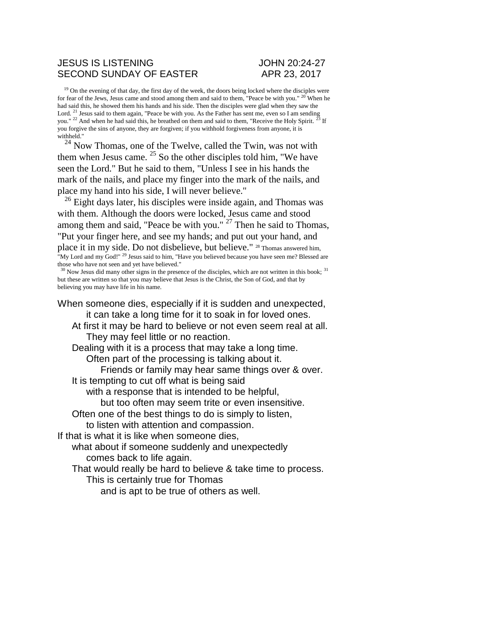## JESUS IS LISTENING JOHN 20:24-27 SECOND SUNDAY OF EASTER APR 23, 2017

 $19$  On the evening of that day, the first day of the week, the doors being locked where the disciples were for fear of the Jews, Jesus came and stood among them and said to them, "Peace be with you." <sup>20</sup> When he had said this, he showed them his hands and his side. Then the disciples were glad when they saw the Lord. <sup>21</sup> Jesus said to them again, "Peace be with you. As the Father has sent me, even so I am sending you." <sup>22</sup> And when he had said this, he breathed on them and said to them, "Receive the Holy Spirit. <sup>23</sup> If you forgive the sins of anyone, they are forgiven; if you withhold forgiveness from anyone, it is withheld."

 $24$  Now Thomas, one of the Twelve, called the Twin, was not with them when Jesus came.  $25$  So the other disciples told him, "We have seen the Lord." But he said to them, "Unless I see in his hands the mark of the nails, and place my finger into the mark of the nails, and place my hand into his side, I will never believe."

 $^{26}$  Eight days later, his disciples were inside again, and Thomas was with them. Although the doors were locked, Jesus came and stood among them and said, "Peace be with you."  $27$  Then he said to Thomas, "Put your finger here, and see my hands; and put out your hand, and place it in my side. Do not disbelieve, but believe." <sup>28</sup> Thomas answered him, "My Lord and my God!" <sup>29</sup> Jesus said to him, "Have you believed because you have seen me? Blessed are those who have not seen and yet have believed."

<sup>30</sup> Now Jesus did many other signs in the presence of the disciples, which are not written in this book; <sup>31</sup> but these are written so that you may believe that Jesus is the Christ, the Son of God, and that by believing you may have life in his name.

When someone dies, especially if it is sudden and unexpected, it can take a long time for it to soak in for loved ones.

At first it may be hard to believe or not even seem real at all. They may feel little or no reaction.

Dealing with it is a process that may take a long time. Often part of the processing is talking about it.

Friends or family may hear same things over & over.

It is tempting to cut off what is being said

with a response that is intended to be helpful,

but too often may seem trite or even insensitive.

Often one of the best things to do is simply to listen,

to listen with attention and compassion.

If that is what it is like when someone dies,

what about if someone suddenly and unexpectedly comes back to life again.

That would really be hard to believe & take time to process. This is certainly true for Thomas

and is apt to be true of others as well.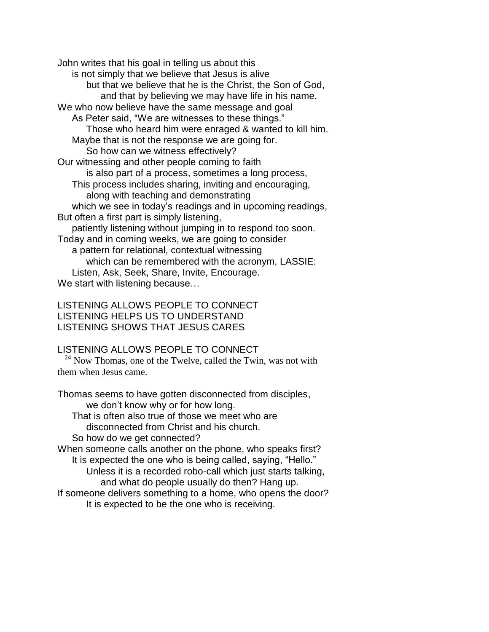John writes that his goal in telling us about this is not simply that we believe that Jesus is alive but that we believe that he is the Christ, the Son of God, and that by believing we may have life in his name. We who now believe have the same message and goal As Peter said, "We are witnesses to these things." Those who heard him were enraged & wanted to kill him. Maybe that is not the response we are going for. So how can we witness effectively? Our witnessing and other people coming to faith is also part of a process, sometimes a long process, This process includes sharing, inviting and encouraging, along with teaching and demonstrating which we see in today's readings and in upcoming readings, But often a first part is simply listening, patiently listening without jumping in to respond too soon. Today and in coming weeks, we are going to consider a pattern for relational, contextual witnessing which can be remembered with the acronym, LASSIE: Listen, Ask, Seek, Share, Invite, Encourage. We start with listening because…

LISTENING ALLOWS PEOPLE TO CONNECT LISTENING HELPS US TO UNDERSTAND LISTENING SHOWS THAT JESUS CARES

## LISTENING ALLOWS PEOPLE TO CONNECT

 $^{24}$  Now Thomas, one of the Twelve, called the Twin, was not with them when Jesus came.

Thomas seems to have gotten disconnected from disciples, we don't know why or for how long. That is often also true of those we meet who are disconnected from Christ and his church.

So how do we get connected?

When someone calls another on the phone, who speaks first? It is expected the one who is being called, saying, "Hello."

Unless it is a recorded robo-call which just starts talking, and what do people usually do then? Hang up.

If someone delivers something to a home, who opens the door? It is expected to be the one who is receiving.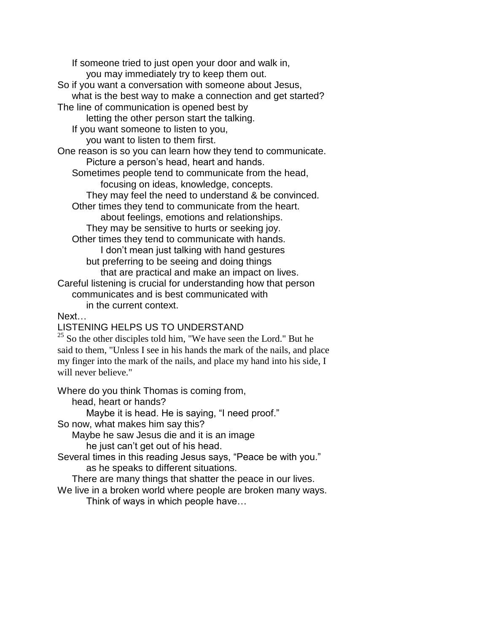If someone tried to just open your door and walk in, you may immediately try to keep them out. So if you want a conversation with someone about Jesus, what is the best way to make a connection and get started? The line of communication is opened best by letting the other person start the talking. If you want someone to listen to you, you want to listen to them first. One reason is so you can learn how they tend to communicate. Picture a person's head, heart and hands. Sometimes people tend to communicate from the head, focusing on ideas, knowledge, concepts. They may feel the need to understand & be convinced. Other times they tend to communicate from the heart. about feelings, emotions and relationships. They may be sensitive to hurts or seeking joy. Other times they tend to communicate with hands. I don't mean just talking with hand gestures but preferring to be seeing and doing things that are practical and make an impact on lives. Careful listening is crucial for understanding how that person communicates and is best communicated with in the current context.

Next…

LISTENING HELPS US TO UNDERSTAND

 $25$  So the other disciples told him, "We have seen the Lord." But he said to them, "Unless I see in his hands the mark of the nails, and place my finger into the mark of the nails, and place my hand into his side, I will never believe."

Where do you think Thomas is coming from,

head, heart or hands?

Maybe it is head. He is saying, "I need proof."

So now, what makes him say this?

Maybe he saw Jesus die and it is an image he just can't get out of his head.

Several times in this reading Jesus says, "Peace be with you." as he speaks to different situations.

There are many things that shatter the peace in our lives.

We live in a broken world where people are broken many ways.

Think of ways in which people have…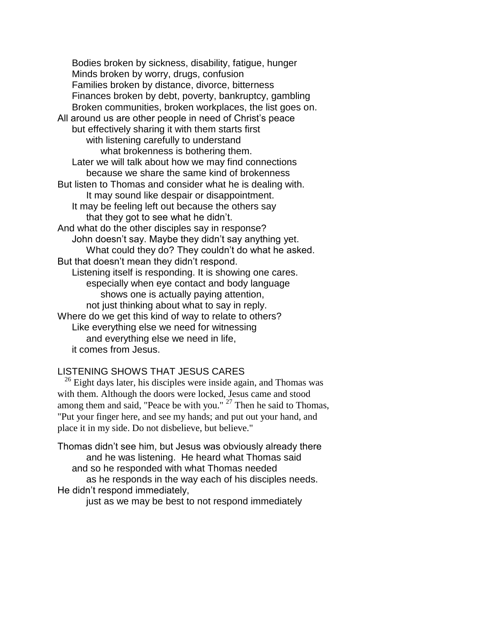Bodies broken by sickness, disability, fatigue, hunger Minds broken by worry, drugs, confusion Families broken by distance, divorce, bitterness Finances broken by debt, poverty, bankruptcy, gambling Broken communities, broken workplaces, the list goes on. All around us are other people in need of Christ's peace but effectively sharing it with them starts first with listening carefully to understand what brokenness is bothering them. Later we will talk about how we may find connections because we share the same kind of brokenness But listen to Thomas and consider what he is dealing with. It may sound like despair or disappointment. It may be feeling left out because the others say that they got to see what he didn't. And what do the other disciples say in response? John doesn't say. Maybe they didn't say anything yet. What could they do? They couldn't do what he asked. But that doesn't mean they didn't respond. Listening itself is responding. It is showing one cares. especially when eye contact and body language shows one is actually paying attention, not just thinking about what to say in reply. Where do we get this kind of way to relate to others? Like everything else we need for witnessing and everything else we need in life, it comes from Jesus.

## LISTENING SHOWS THAT JESUS CARES

 $26$  Eight days later, his disciples were inside again, and Thomas was with them. Although the doors were locked, Jesus came and stood among them and said, "Peace be with you." <sup>27</sup> Then he said to Thomas, "Put your finger here, and see my hands; and put out your hand, and place it in my side. Do not disbelieve, but believe."

Thomas didn't see him, but Jesus was obviously already there and he was listening. He heard what Thomas said and so he responded with what Thomas needed as he responds in the way each of his disciples needs. He didn't respond immediately,

just as we may be best to not respond immediately